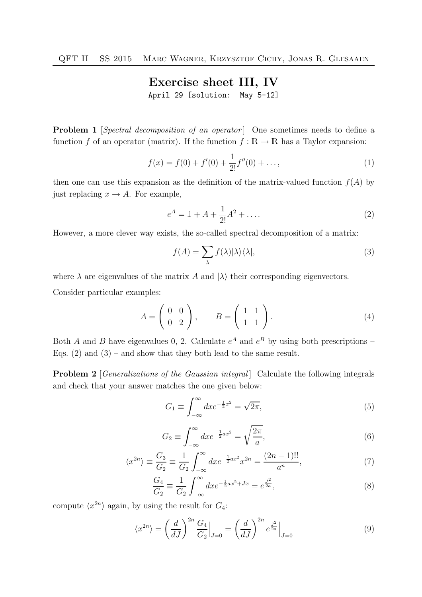## Exercise sheet III, IV

April 29 [solution: May 5-12]

**Problem 1** [Spectral decomposition of an operator] One sometimes needs to define a function f of an operator (matrix). If the function  $f : \mathbb{R} \to \mathbb{R}$  has a Taylor expansion:

$$
f(x) = f(0) + f'(0) + \frac{1}{2!}f''(0) + \dots,
$$
\n(1)

then one can use this expansion as the definition of the matrix-valued function  $f(A)$  by just replacing  $x \to A$ . For example,

$$
e^{A} = 1 + A + \frac{1}{2!}A^{2} + \dots
$$
 (2)

However, a more clever way exists, the so-called spectral decomposition of a matrix:

$$
f(A) = \sum_{\lambda} f(\lambda) |\lambda\rangle\langle\lambda|,\tag{3}
$$

where  $\lambda$  are eigenvalues of the matrix A and  $|\lambda\rangle$  their corresponding eigenvectors.

Consider particular examples:

$$
A = \left(\begin{array}{cc} 0 & 0 \\ 0 & 2 \end{array}\right), \qquad B = \left(\begin{array}{cc} 1 & 1 \\ 1 & 1 \end{array}\right). \tag{4}
$$

Both A and B have eigenvalues 0, 2. Calculate  $e^A$  and  $e^B$  by using both prescriptions – Eqs.  $(2)$  and  $(3)$  – and show that they both lead to the same result.

Problem 2 [Generalizations of the Gaussian integral] Calculate the following integrals and check that your answer matches the one given below:

$$
G_1 \equiv \int_{-\infty}^{\infty} dx e^{-\frac{1}{2}x^2} = \sqrt{2\pi},\tag{5}
$$

$$
G_2 \equiv \int_{-\infty}^{\infty} dx e^{-\frac{1}{2}ax^2} = \sqrt{\frac{2\pi}{a}},\tag{6}
$$

$$
\langle x^{2n} \rangle \equiv \frac{G_3}{G_2} \equiv \frac{1}{G_2} \int_{-\infty}^{\infty} dx e^{-\frac{1}{2}ax^2} x^{2n} = \frac{(2n-1)!!}{a^n},\tag{7}
$$

$$
\frac{G_4}{G_2} \equiv \frac{1}{G_2} \int_{-\infty}^{\infty} dx e^{-\frac{1}{2}ax^2 + Jx} = e^{\frac{J^2}{2a}},\tag{8}
$$

compute  $\langle x^{2n} \rangle$  again, by using the result for  $G_4$ :

$$
\langle x^{2n} \rangle = \left(\frac{d}{dJ}\right)^{2n} \frac{G_4}{G_2}\Big|_{J=0} = \left(\frac{d}{dJ}\right)^{2n} e^{\frac{J^2}{2a}}\Big|_{J=0} \tag{9}
$$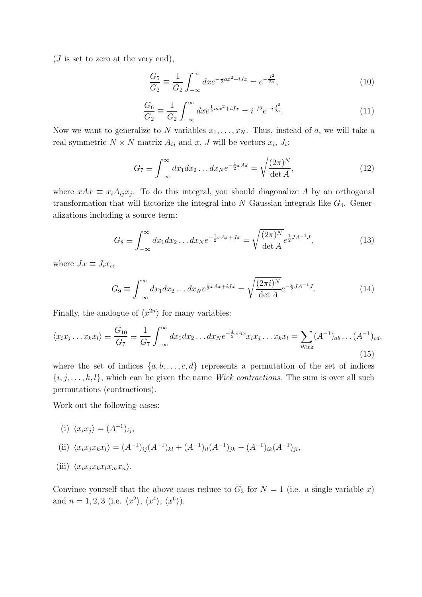$(J$  is set to zero at the very end),

$$
\frac{G_5}{G_2} \equiv \frac{1}{G_2} \int_{-\infty}^{\infty} dx e^{-\frac{1}{2}ax^2 + iJx} = e^{-\frac{J^2}{2a}},\tag{10}
$$

$$
\frac{G_6}{G_2} \equiv \frac{1}{G_2} \int_{-\infty}^{\infty} dx e^{\frac{1}{2}iax^2 + iJx} = i^{1/2} e^{-i\frac{J^2}{2a}}.
$$
\n(11)

Now we want to generalize to N variables  $x_1, \ldots, x_N$ . Thus, instead of a, we will take a real symmetric  $N \times N$  matrix  $A_{ij}$  and  $x, J$  will be vectors  $x_i, J_i$ :

$$
G_7 \equiv \int_{-\infty}^{\infty} dx_1 dx_2 \dots dx_N e^{-\frac{1}{2}xAx} = \sqrt{\frac{(2\pi)^N}{\det A}},\tag{12}
$$

where  $xAx \equiv x_iA_{ij}x_j$ . To do this integral, you should diagonalize A by an orthogonal transformation that will factorize the integral into  $N$  Gaussian integrals like  $G_4$ . Generalizations including a source term:

$$
G_8 \equiv \int_{-\infty}^{\infty} dx_1 dx_2 \dots dx_N e^{-\frac{1}{2}xAx + Jx} = \sqrt{\frac{(2\pi)^N}{\det A}} e^{\frac{1}{2}JA^{-1}J},\tag{13}
$$

where  $Jx \equiv J_i x_i$ ,

$$
G_9 \equiv \int_{-\infty}^{\infty} dx_1 dx_2 \dots dx_N e^{\frac{i}{2}xAx + iJx} = \sqrt{\frac{(2\pi i)^N}{\det A}} e^{-\frac{i}{2}JA^{-1}J}.
$$
 (14)

Finally, the analogue of  $\langle x^{2n} \rangle$  for many variables:

$$
\langle x_i x_j \dots x_k x_l \rangle \equiv \frac{G_{10}}{G_7} \equiv \frac{1}{G_7} \int_{-\infty}^{\infty} dx_1 dx_2 \dots dx_N e^{-\frac{1}{2}xAx} x_i x_j \dots x_k x_l = \sum_{\text{Wick}} (A^{-1})_{ab} \dots (A^{-1})_{cd},
$$
\n(15)

where the set of indices  $\{a, b, \ldots, c, d\}$  represents a permutation of the set of indices  ${i, j, \ldots, k, l}$ , which can be given the name *Wick contractions*. The sum is over all such permutations (contractions).

Work out the following cases:

(i) 
$$
\langle x_i x_j \rangle = (A^{-1})_{ij}
$$
,

(ii) 
$$
\langle x_i x_j x_k x_l \rangle = (A^{-1})_{ij}(A^{-1})_{kl} + (A^{-1})_{il}(A^{-1})_{jk} + (A^{-1})_{ik}(A^{-1})_{jl},
$$

(iii) 
$$
\langle x_i x_j x_k x_l x_m x_n \rangle
$$
.

Convince yourself that the above cases reduce to  $G_3$  for  $N = 1$  (i.e. a single variable x) and  $n = 1, 2, 3$  (i.e.  $\langle x^2 \rangle$ ,  $\langle x^4 \rangle$ ,  $\langle x^6 \rangle$ ).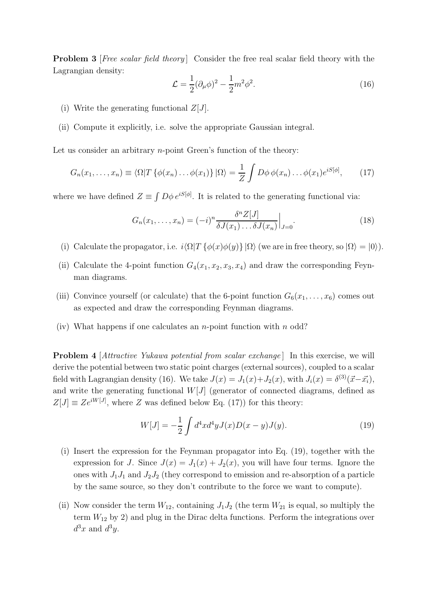**Problem 3** [Free scalar field theory] Consider the free real scalar field theory with the Lagrangian density:

$$
\mathcal{L} = \frac{1}{2} (\partial_{\mu} \phi)^2 - \frac{1}{2} m^2 \phi^2.
$$
 (16)

- (i) Write the generating functional  $Z[J]$ .
- (ii) Compute it explicitly, i.e. solve the appropriate Gaussian integral.

Let us consider an arbitrary  $n$ -point Green's function of the theory:

$$
G_n(x_1,\ldots,x_n) \equiv \langle \Omega | T \{ \phi(x_n) \ldots \phi(x_1) \} | \Omega \rangle = \frac{1}{Z} \int D\phi \, \phi(x_n) \ldots \phi(x_1) e^{iS[\phi]},\qquad(17)
$$

where we have defined  $Z \equiv \int D\phi \, e^{iS[\phi]}$ . It is related to the generating functional via:

$$
G_n(x_1,\ldots,x_n) = (-i)^n \frac{\delta^n Z[J]}{\delta J(x_1)\ldots\delta J(x_n)}\Big|_{J=0}.
$$
\n(18)

- (i) Calculate the propagator, i.e.  $i\langle \Omega|T \{\phi(x)\phi(y)\}\,|\Omega\rangle$  (we are in free theory, so  $|\Omega\rangle = |0\rangle$ ).
- (ii) Calculate the 4-point function  $G_4(x_1, x_2, x_3, x_4)$  and draw the corresponding Feynman diagrams.
- (iii) Convince yourself (or calculate) that the 6-point function  $G_6(x_1, \ldots, x_6)$  comes out as expected and draw the corresponding Feynman diagrams.
- (iv) What happens if one calculates an *n*-point function with *n* odd?

**Problem 4** [Attractive Yukawa potential from scalar exchange] In this exercise, we will derive the potential between two static point charges (external sources), coupled to a scalar field with Lagrangian density (16). We take  $J(x) = J_1(x) + J_2(x)$ , with  $J_i(x) = \delta^{(3)}(\vec{x} - \vec{x_i})$ , and write the generating functional  $W[J]$  (generator of connected diagrams, defined as  $Z[J] \equiv Ze^{iW[J]}$ , where Z was defined below Eq. (17)) for this theory:

$$
W[J] = -\frac{1}{2} \int d^4x d^4y J(x) D(x - y) J(y).
$$
 (19)

- (i) Insert the expression for the Feynman propagator into Eq. (19), together with the expression for J. Since  $J(x) = J_1(x) + J_2(x)$ , you will have four terms. Ignore the ones with  $J_1J_1$  and  $J_2J_2$  (they correspond to emission and re-absorption of a particle by the same source, so they don't contribute to the force we want to compute).
- (ii) Now consider the term  $W_{12}$ , containing  $J_1J_2$  (the term  $W_{21}$  is equal, so multiply the term  $W_{12}$  by 2) and plug in the Dirac delta functions. Perform the integrations over  $d^3x$  and  $d^3y$ .